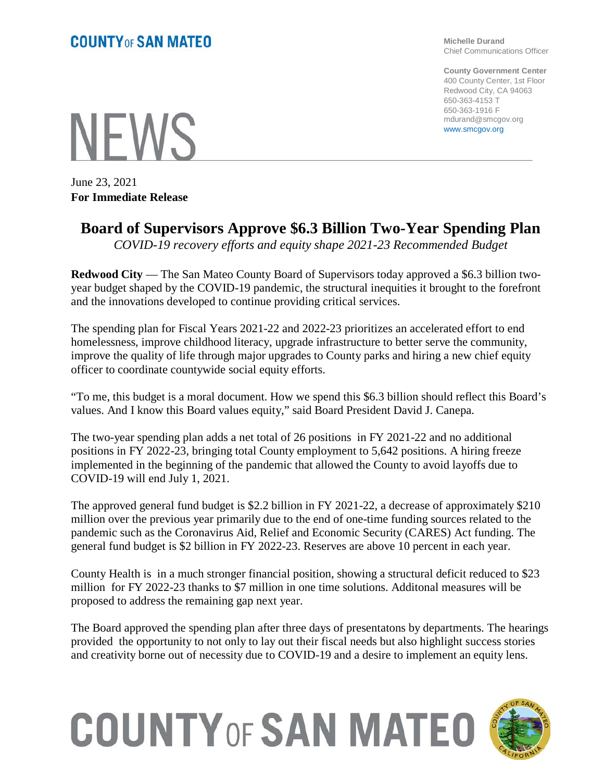**NEWS** 

June 23, 2021 **For Immediate Release** **Michelle Durand** Chief Communications Officer

**County Government Center** 400 County Center, 1st Floor Redwood City, CA 94063 650-363-4153 T 650-363-1916 F mdurand@smcgov.org www.smcgov.org

## **Board of Supervisors Approve \$6.3 Billion Two-Year Spending Plan**

*COVID-19 recovery efforts and equity shape 2021-23 Recommended Budget*

**Redwood City** — The San Mateo County Board of Supervisors today approved a \$6.3 billion twoyear budget shaped by the COVID-19 pandemic, the structural inequities it brought to the forefront and the innovations developed to continue providing critical services.

The spending plan for Fiscal Years 2021-22 and 2022-23 prioritizes an accelerated effort to end homelessness, improve childhood literacy, upgrade infrastructure to better serve the community, improve the quality of life through major upgrades to County parks and hiring a new chief equity officer to coordinate countywide social equity efforts.

"To me, this budget is a moral document. How we spend this \$6.3 billion should reflect this Board's values. And I know this Board values equity," said Board President David J. Canepa.

The two-year spending plan adds a net total of 26 positions in FY 2021-22 and no additional positions in FY 2022-23, bringing total County employment to 5,642 positions. A hiring freeze implemented in the beginning of the pandemic that allowed the County to avoid layoffs due to COVID-19 will end July 1, 2021.

The approved general fund budget is \$2.2 billion in FY 2021-22, a decrease of approximately \$210 million over the previous year primarily due to the end of one-time funding sources related to the pandemic such as the Coronavirus Aid, Relief and Economic Security (CARES) Act funding. The general fund budget is \$2 billion in FY 2022-23. Reserves are above 10 percent in each year.

County Health is in a much stronger financial position, showing a structural deficit reduced to \$23 million for FY 2022-23 thanks to \$7 million in one time solutions. Additonal measures will be proposed to address the remaining gap next year.

The Board approved the spending plan after three days of presentatons by departments. The hearings provided the opportunity to not only to lay out their fiscal needs but also highlight success stories and creativity borne out of necessity due to COVID-19 and a desire to implement an equity lens.

## **COUNTY OF SAN MATEO**